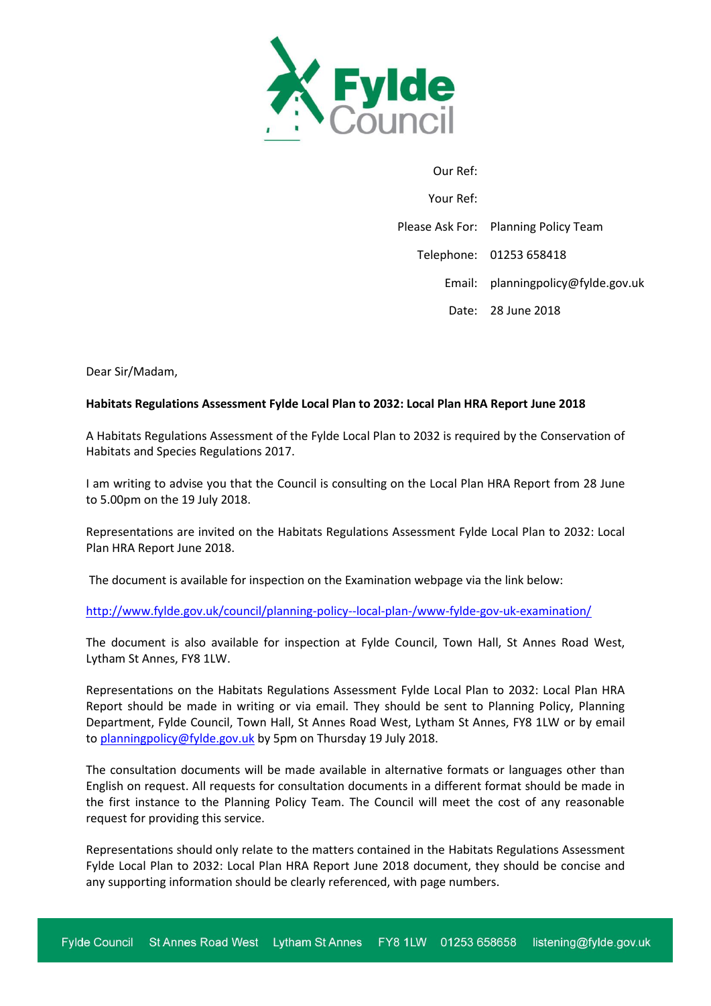

| Our Ref:  |                                      |
|-----------|--------------------------------------|
| Your Ref: |                                      |
|           | Please Ask For: Planning Policy Team |
|           | Telephone: 01253 658418              |
|           | Email: planningpolicy@fylde.gov.uk   |
|           | Date: 28 June 2018                   |

Dear Sir/Madam,

## **Habitats Regulations Assessment Fylde Local Plan to 2032: Local Plan HRA Report June 2018**

A Habitats Regulations Assessment of the Fylde Local Plan to 2032 is required by the Conservation of Habitats and Species Regulations 2017.

I am writing to advise you that the Council is consulting on the Local Plan HRA Report from 28 June to 5.00pm on the 19 July 2018.

Representations are invited on the Habitats Regulations Assessment Fylde Local Plan to 2032: Local Plan HRA Report June 2018.

The document is available for inspection on the Examination webpage via the link below:

## <http://www.fylde.gov.uk/council/planning-policy--local-plan-/www-fylde-gov-uk-examination/>

The document is also available for inspection at Fylde Council, Town Hall, St Annes Road West, Lytham St Annes, FY8 1LW.

Representations on the Habitats Regulations Assessment Fylde Local Plan to 2032: Local Plan HRA Report should be made in writing or via email. They should be sent to Planning Policy, Planning Department, Fylde Council, Town Hall, St Annes Road West, Lytham St Annes, FY8 1LW or by email to [planningpolicy@fylde.gov.uk](mailto:planningpolicy@fylde.gov.uk) by 5pm on Thursday 19 July 2018.

The consultation documents will be made available in alternative formats or languages other than English on request. All requests for consultation documents in a different format should be made in the first instance to the Planning Policy Team. The Council will meet the cost of any reasonable request for providing this service.

Representations should only relate to the matters contained in the Habitats Regulations Assessment Fylde Local Plan to 2032: Local Plan HRA Report June 2018 document, they should be concise and any supporting information should be clearly referenced, with page numbers.